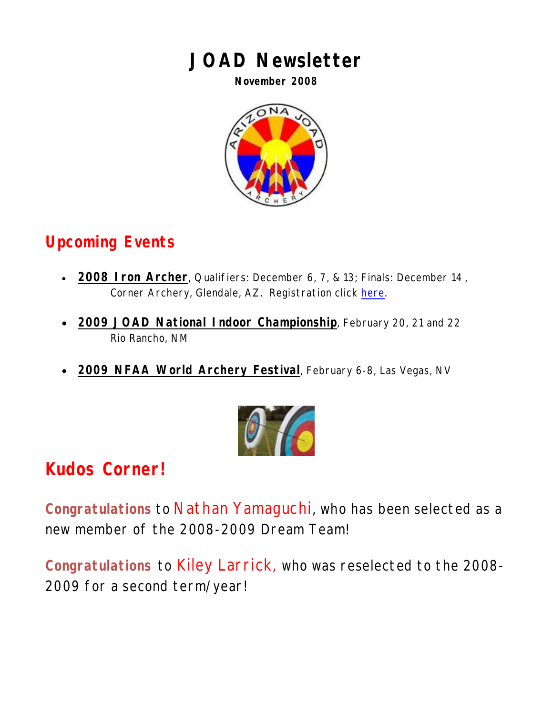## **JOAD Newsletter**

**November 2008** 



### **Upcoming Events**

- **2008 Iron Archer**, Qualifiers: December 6, 7, & 13; Finals: December 14 , Corner Archery, Glendale, AZ. Registration click [here.](http://www.azjoad.com/2008/2008_IRON_ARCHER.pdf)
- **2009 JOAD National Indoor Championship**, February 20, 21 and 22 Rio Rancho, NM
- **2009 NFAA World Archery Festival**, February 6-8, Las Vegas, NV



# **Kudos Corner!**

**Congratulations** to Nathan Yamaguchi, who has been selected as a new member of the 2008-2009 Dream Team!

**Congratulations** to Kiley Larrick, who was reselected to the 2008- 2009 for a second term/year!